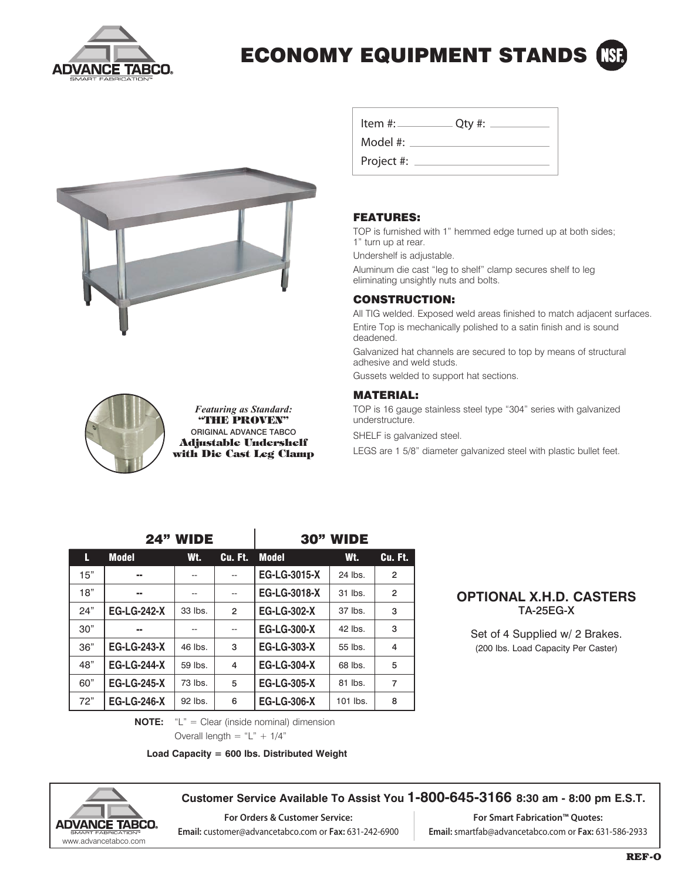

## ECONOMY EQUIPMENT STANDS





*Featuring as Standard:* "THE PROVEN" ORIGINAL ADVANCE TABCO Adjustable Undershelf with Die Cast Leg Clamp

| Item #:    | $Q$ ty #: |
|------------|-----------|
| Model #:   |           |
| Project #: |           |

### FEATURES:

TOP is furnished with 1" hemmed edge turned up at both sides; 1" turn up at rear.

Undershelf is adjustable.

Aluminum die cast "leg to shelf" clamp secures shelf to leg eliminating unsightly nuts and bolts.

### CONSTRUCTION:

All TIG welded. Exposed weld areas finished to match adjacent surfaces. Entire Top is mechanically polished to a satin finish and is sound deadened.

Galvanized hat channels are secured to top by means of structural adhesive and weld studs.

Gussets welded to support hat sections.

#### MATERIAL:

TOP is 16 gauge stainless steel type "304" series with galvanized understructure.

SHELF is galvanized steel.

LEGS are 1 5/8" diameter galvanized steel with plastic bullet feet.

|     | <b>24" WIDE</b>    |         |                | <b>30" WIDE</b>     |          |                |
|-----|--------------------|---------|----------------|---------------------|----------|----------------|
| L   | <b>Model</b>       | Wt.     | Cu. Ft.        | Model               | Wt.      | Cu. Ft.        |
| 15" | --                 |         |                | <b>EG-LG-3015-X</b> | 24 lbs.  | $\mathfrak{p}$ |
| 18" | --                 | --      | --             | EG-LG-3018-X        | 31 lbs.  | $\overline{2}$ |
| 24" | <b>EG-LG-242-X</b> | 33 lbs. | $\overline{2}$ | <b>EG-LG-302-X</b>  | 37 lbs.  | 3              |
| 30" | --                 |         | --             | <b>EG-LG-300-X</b>  | 42 lbs.  | 3              |
| 36" | <b>EG-LG-243-X</b> | 46 lbs. | 3              | <b>EG-LG-303-X</b>  | 55 lbs.  | 4              |
| 48" | <b>EG-LG-244-X</b> | 59 lbs. | $\overline{4}$ | <b>EG-LG-304-X</b>  | 68 lbs.  | 5              |
| 60" | <b>EG-LG-245-X</b> | 73 lbs. | 5              | <b>EG-LG-305-X</b>  | 81 lbs.  | 7              |
| 72" | <b>EG-LG-246-X</b> | 92 lbs. | 6              | <b>EG-LG-306-X</b>  | 101 lbs. | 8              |

#### **OPTIONAL X.H.D. CASTERS** TA-25EG-X

Set of 4 Supplied w/ 2 Brakes. (200 lbs. Load Capacity Per Caster)

**NOTE:** "L" = Clear (inside nominal) dimension

Overall length  $=$  "L" + 1/4"

**Load Capacity = 600 lbs. Distributed Weight**



**Customer Service Available To Assist You 1-800-645-3166 8:30 am - 8:00 pm E.S.T.**

**For Orders & Customer Service: Email:** customer@advancetabco.com or **Fax:** 631-242-6900

**For Smart Fabrication™ Quotes: Email:** smartfab@advancetabco.com or **Fax:** 631-586-2933